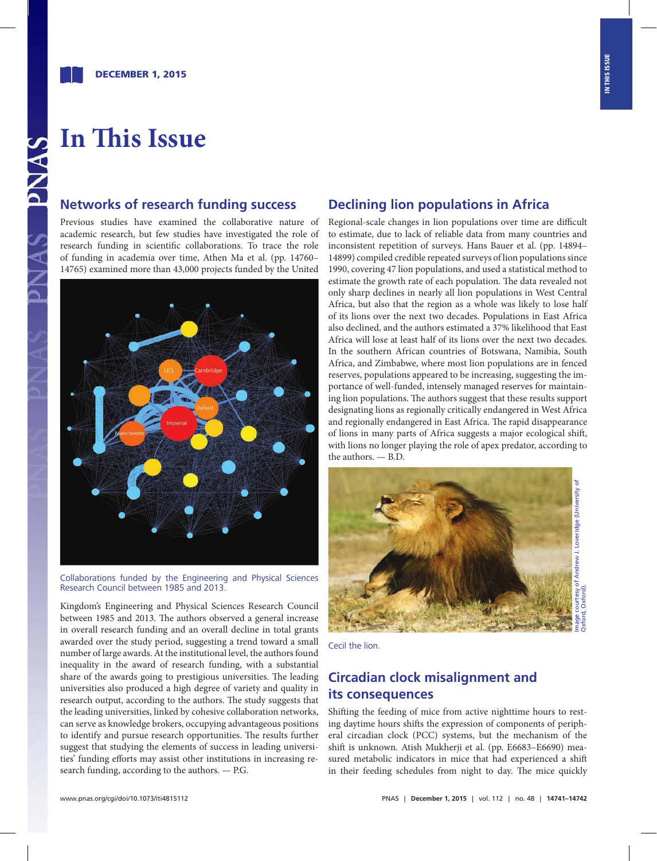# **In This Issue**

## **Networks of research funding success**

Previous studies have examined the collaborative nature of academic research, but few studies have investigated the role of research funding in scientific collaborations. To trace the role of funding in academia over time, Athen Ma et al. ([pp. 14760–](http://www.pnas.org/cgi/doi/10.1073/pnas.1513651112) [14765\)](http://www.pnas.org/cgi/doi/10.1073/pnas.1513651112) examined more than 43,000 projects funded by the United



Collaborations funded by the Engineering and Physical Sciences Research Council between 1985 and 2013.

Kingdom's Engineering and Physical Sciences Research Council between 1985 and 2013. The authors observed a general increase in overall research funding and an overall decline in total grants awarded over the study period, suggesting a trend toward a small number of large awards. At the institutional level, the authors found inequality in the award of research funding, with a substantial share of the awards going to prestigious universities. The leading universities also produced a high degree of variety and quality in research output, according to the authors. The study suggests that the leading universities, linked by cohesive collaboration networks, can serve as knowledge brokers, occupying advantageous positions to identify and pursue research opportunities. The results further suggest that studying the elements of success in leading universities' funding efforts may assist other institutions in increasing research funding, according to the authors. — P.G.

### **Declining lion populations in Africa**

Regional-scale changes in lion populations over time are difficult to estimate, due to lack of reliable data from many countries and inconsistent repetition of surveys. Hans Bauer et al. ([pp. 14894–](http://www.pnas.org/cgi/doi/10.1073/pnas.1500664112) [14899](http://www.pnas.org/cgi/doi/10.1073/pnas.1500664112)) compiled credible repeated surveys of lion populations since 1990, covering 47 lion populations, and used a statistical method to estimate the growth rate of each population. The data revealed not only sharp declines in nearly all lion populations in West Central Africa, but also that the region as a whole was likely to lose half of its lions over the next two decades. Populations in East Africa also declined, and the authors estimated a 37% likelihood that East Africa will lose at least half of its lions over the next two decades. In the southern African countries of Botswana, Namibia, South Africa, and Zimbabwe, where most lion populations are in fenced reserves, populations appeared to be increasing, suggesting the importance of well-funded, intensely managed reserves for maintaining lion populations. The authors suggest that these results support designating lions as regionally critically endangered in West Africa and regionally endangered in East Africa. The rapid disappearance of lions in many parts of Africa suggests a major ecological shift, with lions no longer playing the role of apex predator, according to the authors. — B.D.



Cecil the lion.

## **Circadian clock misalignment and its consequences**

Shifting the feeding of mice from active nighttime hours to resting daytime hours shifts the expression of components of peripheral circadian clock (PCC) systems, bu[t the mechanism](http://www.pnas.org/cgi/doi/10.1073/pnas.1519735112) of the shift is unknown. Atish Mukherji et al. (pp. E6683–E6690) measured metabolic indicators in mice that had experienced a shift in their feeding schedules from night to day. The mice quickly